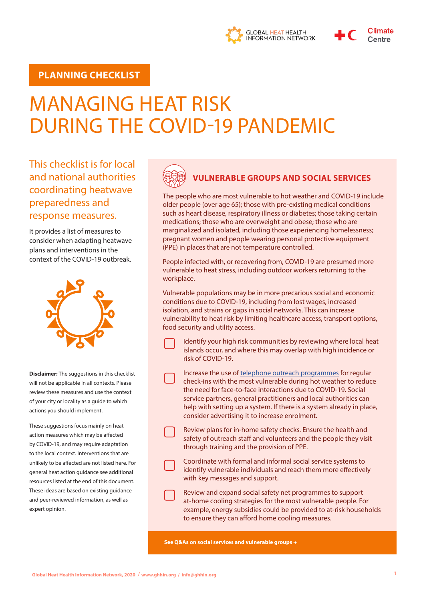



#### **PLANNING CHECKLIST**

# MANAGING HEAT RISK DURING THE COVID-19 PANDEMIC

This checklist is for local and national authorities coordinating heatwave preparedness and response measures.

It provides a list of measures to consider when adapting heatwave plans and interventions in the context of the COVID-19 outbreak.



**Disclaimer:** The suggestions in this checklist will not be applicable in all contexts. Please review these measures and use the context of your city or locality as a guide to which actions you should implement.

These suggestions focus mainly on heat action measures which may be affected by COVID-19, and may require adaptation to the local context. Interventions that are unlikely to be affected are not listed here. For general heat action guidance see additional resources listed at the end of this document. These ideas are based on existing quidance and peer-reviewed information, as well as expert opinion.



## **VULNERABLE GROUPS AND SOCIAL SERVICES**

The people who are most vulnerable to hot weather and COVID-19 include older people (over age 65); those with pre-existing medical conditions such as heart disease, respiratory illness or diabetes; those taking certain medications; those who are overweight and obese; those who are marginalized and isolated, including those experiencing homelessness; pregnant women and people wearing personal protective equipment (PPE) in places that are not temperature controlled.

People infected with, or recovering from, COVID-19 are presumed more vulnerable to heat stress, including outdoor workers returning to the workplace.

Vulnerable populations may be in more precarious social and economic conditions due to COVID-19, including from lost wages, increased isolation, and strains or gaps in social networks. This can increase vulnerability to heat risk by limiting healthcare access, transport options, food security and utility access.

Identify your high risk communities by reviewing where local heat islands occur, and where this may overlap with high incidence or risk of COVID-19.

Increase the use of [telephone outreach programmes](https://www.redcross.org.au/get-help/community-services/telecross/telecross-redi) for regular check-ins with the most vulnerable during hot weather to reduce the need for face-to-face interactions due to COVID-19. Social service partners, general practitioners and local authorities can help with setting up a system. If there is a system already in place, consider advertising it to increase enrolment.

Review plans for in-home safety checks. Ensure the health and safety of outreach staff and volunteers and the people they visit through training and the provision of PPE.

Coordinate with formal and informal social service systems to identify vulnerable individuals and reach them more effectively with key messages and support.

Review and expand social safety net programmes to support at-home cooling strategies for the most vulnerable people. For example, energy subsidies could be provided to at-risk households to ensure they can afford home cooling measures.

**[See Q&As on social services and vulnerable groups](www.ghhin.org/heat-and-covid-19)** →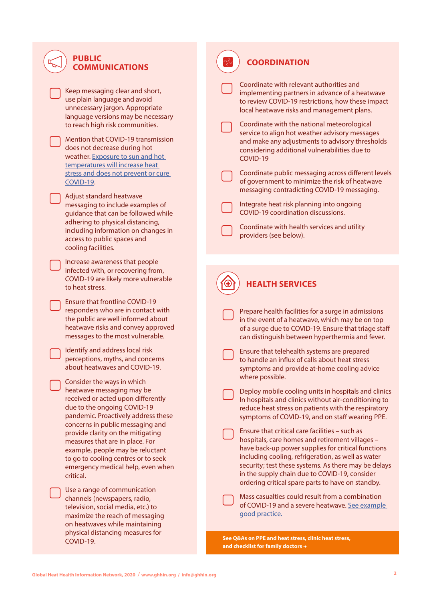| <b>PUBLIC</b><br><b>COMMUNICATIONS</b>                                                                                                                                                                                                                                                                                                                                                                                                                                                                                                                                                                                      | <b>COORDINATION</b>                                                                                                                                                                                                                                                                                                                                                                                                                                                                                                                                                                                                                                                                                                                |
|-----------------------------------------------------------------------------------------------------------------------------------------------------------------------------------------------------------------------------------------------------------------------------------------------------------------------------------------------------------------------------------------------------------------------------------------------------------------------------------------------------------------------------------------------------------------------------------------------------------------------------|------------------------------------------------------------------------------------------------------------------------------------------------------------------------------------------------------------------------------------------------------------------------------------------------------------------------------------------------------------------------------------------------------------------------------------------------------------------------------------------------------------------------------------------------------------------------------------------------------------------------------------------------------------------------------------------------------------------------------------|
| Keep messaging clear and short,<br>use plain language and avoid<br>unnecessary jargon. Appropriate<br>language versions may be necessary<br>to reach high risk communities.<br>Mention that COVID-19 transmission<br>does not decrease during hot<br>weather. Exposure to sun and hot<br>temperatures will increase heat<br>stress and does not prevent or cure<br><b>COVID-19.</b><br>Adjust standard heatwave<br>messaging to include examples of<br>guidance that can be followed while<br>adhering to physical distancing,<br>including information on changes in<br>access to public spaces and<br>cooling facilities. | Coordinate with relevant authorities and<br>implementing partners in advance of a heatwave<br>to review COVID-19 restrictions, how these impact<br>local heatwave risks and management plans.<br>Coordinate with the national meteorological<br>service to align hot weather advisory messages<br>and make any adjustments to advisory thresholds<br>considering additional vulnerabilities due to<br>COVID-19<br>Coordinate public messaging across different levels<br>of government to minimize the risk of heatwave<br>messaging contradicting COVID-19 messaging.<br>Integrate heat risk planning into ongoing<br>COVID-19 coordination discussions.<br>Coordinate with health services and utility<br>providers (see below). |
| Increase awareness that people<br>infected with, or recovering from,<br>COVID-19 are likely more vulnerable<br>to heat stress.                                                                                                                                                                                                                                                                                                                                                                                                                                                                                              | <b>HEALTH SERVICES</b>                                                                                                                                                                                                                                                                                                                                                                                                                                                                                                                                                                                                                                                                                                             |
| <b>Ensure that frontline COVID-19</b><br>responders who are in contact with<br>the public are well informed about<br>heatwave risks and convey approved<br>messages to the most vulnerable.                                                                                                                                                                                                                                                                                                                                                                                                                                 | Prepare health facilities for a surge in admissions<br>in the event of a heatwave, which may be on top<br>of a surge due to COVID-19. Ensure that triage staff<br>can distinguish between hyperthermia and fever.                                                                                                                                                                                                                                                                                                                                                                                                                                                                                                                  |
| Identify and address local risk<br>perceptions, myths, and concerns<br>about heatwaves and COVID-19.                                                                                                                                                                                                                                                                                                                                                                                                                                                                                                                        | Ensure that telehealth systems are prepared<br>to handle an influx of calls about heat stress<br>symptoms and provide at-home cooling advice<br>where possible.                                                                                                                                                                                                                                                                                                                                                                                                                                                                                                                                                                    |
| Consider the ways in which<br>heatwave messaging may be<br>received or acted upon differently<br>due to the ongoing COVID-19<br>pandemic. Proactively address these<br>concerns in public messaging and<br>provide clarity on the mitigating<br>measures that are in place. For<br>example, people may be reluctant<br>to go to cooling centres or to seek<br>emergency medical help, even when<br>critical.                                                                                                                                                                                                                | Deploy mobile cooling units in hospitals and clinics<br>In hospitals and clinics without air-conditioning to<br>reduce heat stress on patients with the respiratory<br>symptoms of COVID-19, and on staff wearing PPE.<br>Ensure that critical care facilities - such as<br>hospitals, care homes and retirement villages -<br>have back-up power supplies for critical functions<br>including cooling, refrigeration, as well as water<br>security; test these systems. As there may be delays<br>in the supply chain due to COVID-19, consider<br>ordering critical spare parts to have on standby.                                                                                                                              |
| Use a range of communication<br>channels (newspapers, radio,<br>television, social media, etc.) to<br>maximize the reach of messaging<br>on heatwaves while maintaining<br>physical distancing measures for                                                                                                                                                                                                                                                                                                                                                                                                                 | Mass casualties could result from a combination<br>of COVID-19 and a severe heatwave. See example<br>good practice.<br>See Q&As on PPE and heat stress, clinic heat stress,                                                                                                                                                                                                                                                                                                                                                                                                                                                                                                                                                        |
| COVID-19.                                                                                                                                                                                                                                                                                                                                                                                                                                                                                                                                                                                                                   | and checklist for family doctors $\rightarrow$                                                                                                                                                                                                                                                                                                                                                                                                                                                                                                                                                                                                                                                                                     |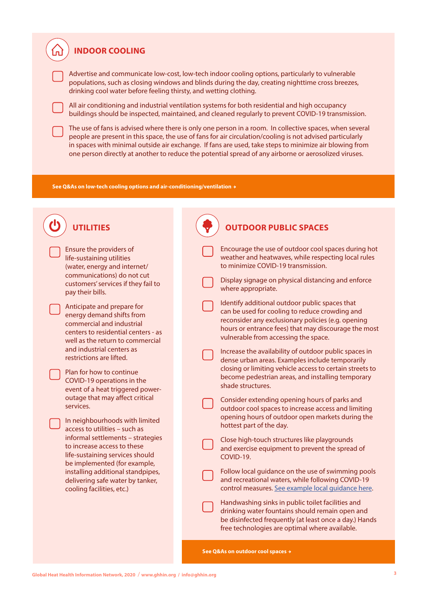### **INDOOR COOLING**

Advertise and communicate low-cost, low-tech indoor cooling options, particularly to vulnerable populations, such as closing windows and blinds during the day, creating nighttime cross breezes, drinking cool water before feeling thirsty, and wetting clothing.

All air conditioning and industrial ventilation systems for both residential and high occupancy buildings should be inspected, maintained, and cleaned regularly to prevent COVID-19 transmission.

The use of fans is advised where there is only one person in a room. In collective spaces, when several people are present in this space, the use of fans for air circulation/cooling is not advised particularly in spaces with minimal outside air exchange. If fans are used, take steps to minimize air blowing from one person directly at another to reduce the potential spread of any airborne or aerosolized viruses.

**[See Q&As on low-tech cooling options and air-conditioning/ventilation](www.ghhin.org/heat-and-covid-19)** →

| <b>UTILITIES</b>                                                                                                                                                                                                                          | <b>OUTDOOR PUBLIC SPACES</b>                                                                                                                                                                                                                           |
|-------------------------------------------------------------------------------------------------------------------------------------------------------------------------------------------------------------------------------------------|--------------------------------------------------------------------------------------------------------------------------------------------------------------------------------------------------------------------------------------------------------|
| Ensure the providers of<br>life-sustaining utilities<br>(water, energy and internet/                                                                                                                                                      | Encourage the use of outdoor cool spaces during hot<br>weather and heatwaves, while respecting local rules<br>to minimize COVID-19 transmission.                                                                                                       |
| communications) do not cut<br>customers' services if they fail to<br>pay their bills.                                                                                                                                                     | Display signage on physical distancing and enforce<br>where appropriate.                                                                                                                                                                               |
| Anticipate and prepare for<br>energy demand shifts from<br>commercial and industrial<br>centers to residential centers - as<br>well as the return to commercial                                                                           | Identify additional outdoor public spaces that<br>can be used for cooling to reduce crowding and<br>reconsider any exclusionary policies (e.g. opening<br>hours or entrance fees) that may discourage the most<br>vulnerable from accessing the space. |
| and industrial centers as<br>restrictions are lifted.                                                                                                                                                                                     | Increase the availability of outdoor public spaces in<br>dense urban areas. Examples include temporarily                                                                                                                                               |
| Plan for how to continue<br>COVID-19 operations in the<br>event of a heat triggered power-                                                                                                                                                | closing or limiting vehicle access to certain streets to<br>become pedestrian areas, and installing temporary<br>shade structures.                                                                                                                     |
| outage that may affect critical<br>services.<br>In neighbourhoods with limited<br>access to utilities - such as                                                                                                                           | Consider extending opening hours of parks and<br>outdoor cool spaces to increase access and limiting<br>opening hours of outdoor open markets during the<br>hottest part of the day.                                                                   |
| informal settlements - strategies<br>to increase access to these<br>life-sustaining services should<br>be implemented (for example,<br>installing additional standpipes,<br>delivering safe water by tanker,<br>cooling facilities, etc.) | Close high-touch structures like playgrounds<br>and exercise equipment to prevent the spread of<br>COVID-19.                                                                                                                                           |
|                                                                                                                                                                                                                                           | Follow local guidance on the use of swimming pools<br>and recreational waters, while following COVID-19<br>control measures. See example local guidance here.                                                                                          |
|                                                                                                                                                                                                                                           | Handwashing sinks in public toilet facilities and<br>drinking water fountains should remain open and<br>be disinfected frequently (at least once a day.) Hands<br>free technologies are optimal where available.                                       |
|                                                                                                                                                                                                                                           | See Q&As on outdoor cool spaces →                                                                                                                                                                                                                      |